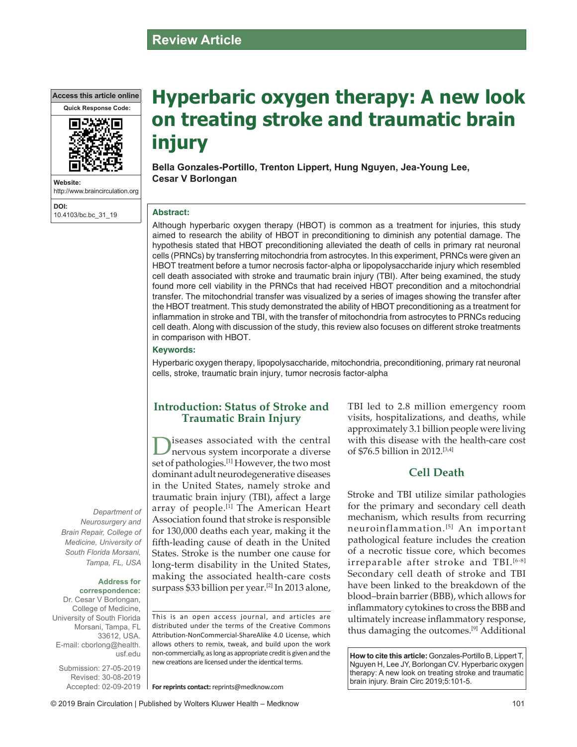# **Review Article**

**Access this article online**



**Website:** http://www.braincirculation.org **DOI:**

10.4103/bc.bc\_31\_19

# **Hyperbaric oxygen therapy: A new look on treating stroke and traumatic brain injury**

**Bella Gonzales-Portillo, Trenton Lippert, Hung Nguyen, Jea-Young Lee, Cesar V Borlongan**

#### **Abstract:**

Although hyperbaric oxygen therapy (HBOT) is common as a treatment for injuries, this study aimed to research the ability of HBOT in preconditioning to diminish any potential damage. The hypothesis stated that HBOT preconditioning alleviated the death of cells in primary rat neuronal cells (PRNCs) by transferring mitochondria from astrocytes. In this experiment, PRNCs were given an HBOT treatment before a tumor necrosis factor-alpha or lipopolysaccharide injury which resembled cell death associated with stroke and traumatic brain injury (TBI). After being examined, the study found more cell viability in the PRNCs that had received HBOT precondition and a mitochondrial transfer. The mitochondrial transfer was visualized by a series of images showing the transfer after the HBOT treatment. This study demonstrated the ability of HBOT preconditioning as a treatment for inflammation in stroke and TBI, with the transfer of mitochondria from astrocytes to PRNCs reducing cell death. Along with discussion of the study, this review also focuses on different stroke treatments in comparison with HBOT.

#### **Keywords:**

Hyperbaric oxygen therapy, lipopolysaccharide, mitochondria, preconditioning, primary rat neuronal cells, stroke, traumatic brain injury, tumor necrosis factor-alpha

### **Introduction: Status of Stroke and Traumatic Brain Injury**

Diseases associated with the central<br>
nervous system incorporate a diverse set of pathologies.[1] However, the two most dominant adult neurodegenerative diseases in the United States, namely stroke and traumatic brain injury (TBI), affect a large array of people.<sup>[1]</sup> The American Heart Association found that stroke is responsible for 130,000 deaths each year, making it the fifth‑leading cause of death in the United States. Stroke is the number one cause for long-term disability in the United States, making the associated health-care costs surpass \$33 billion per year.<sup>[2]</sup> In 2013 alone,

*Neurosurgery and Brain Repair, College of Medicine, University of South Florida Morsani, Tampa, FL, USA*

#### **Address for correspondence:**

*Department of* 

Dr. Cesar V Borlongan, College of Medicine, University of South Florida Morsani, Tampa, FL 33612, USA. E‑mail: cborlong@health. usf.edu

Submission: 27‑05‑2019 Revised: 30‑08‑2019 Accepted: 02‑09‑2019 This is an open access journal, and articles are distributed under the terms of the Creative Commons Attribution‑NonCommercial‑ShareAlike 4.0 License, which allows others to remix, tweak, and build upon the work non‑commercially, as long as appropriate credit is given and the new creations are licensed under the identical terms.

**For reprints contact:** reprints@medknow.com

TBI led to 2.8 million emergency room visits, hospitalizations, and deaths, while approximately 3.1 billion people were living with this disease with the health-care cost of \$76.5 billion in 2012.[3,4]

### **Cell Death**

Stroke and TBI utilize similar pathologies for the primary and secondary cell death mechanism, which results from recurring neuroinflammation.[5] An important pathological feature includes the creation of a necrotic tissue core, which becomes irreparable after stroke and  $TBL^{[6-8]}$ Secondary cell death of stroke and TBI have been linked to the breakdown of the blood–brain barrier (BBB), which allows for inflammatory cytokines to cross the BBB and ultimately increase inflammatory response, thus damaging the outcomes.[9] Additional

**How to cite this article:** Gonzales-Portillo B, Lippert T, Nguyen H, Lee JY, Borlongan CV. Hyperbaric oxygen therapy: A new look on treating stroke and traumatic brain injury. Brain Circ 2019;5:101-5.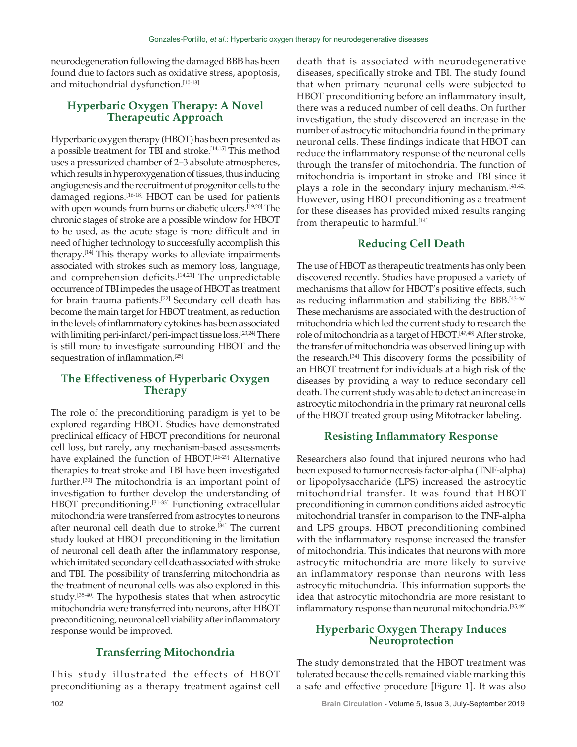neurodegeneration following the damaged BBB has been found due to factors such as oxidative stress, apoptosis, and mitochondrial dysfunction.<sup>[10-13]</sup>

# **Hyperbaric Oxygen Therapy: A Novel Therapeutic Approach**

Hyperbaric oxygen therapy (HBOT) has been presented as a possible treatment for TBI and stroke.[14,15] This method uses a pressurized chamber of 2–3 absolute atmospheres, which results in hyperoxygenation of tissues, thus inducing angiogenesis and the recruitment of progenitor cells to the damaged regions.<sup>[16-18]</sup> HBOT can be used for patients with open wounds from burns or diabetic ulcers.<sup>[19,20]</sup> The chronic stages of stroke are a possible window for HBOT to be used, as the acute stage is more difficult and in need of higher technology to successfully accomplish this therapy.[14] This therapy works to alleviate impairments associated with strokes such as memory loss, language, and comprehension deficits.<sup>[14,21]</sup> The unpredictable occurrence of TBI impedes the usage of HBOT as treatment for brain trauma patients.[22] Secondary cell death has become the main target for HBOT treatment, as reduction in the levels of inflammatory cytokines has been associated with limiting peri-infarct/peri-impact tissue loss.<sup>[23,24]</sup> There is still more to investigate surrounding HBOT and the sequestration of inflammation.<sup>[25]</sup>

### **The Effectiveness of Hyperbaric Oxygen Therapy**

The role of the preconditioning paradigm is yet to be explored regarding HBOT. Studies have demonstrated preclinical efficacy of HBOT preconditions for neuronal cell loss, but rarely, any mechanism‑based assessments have explained the function of HBOT.<sup>[26-29]</sup> Alternative therapies to treat stroke and TBI have been investigated further.[30] The mitochondria is an important point of investigation to further develop the understanding of HBOT preconditioning.<sup>[31-33]</sup> Functioning extracellular mitochondria were transferred from astrocytes to neurons after neuronal cell death due to stroke.<sup>[34]</sup> The current study looked at HBOT preconditioning in the limitation of neuronal cell death after the inflammatory response, which imitated secondary cell death associated with stroke and TBI. The possibility of transferring mitochondria as the treatment of neuronal cells was also explored in this study.<sup>[35-40]</sup> The hypothesis states that when astrocytic mitochondria were transferred into neurons, after HBOT preconditioning, neuronal cell viability after inflammatory response would be improved.

### **Transferring Mitochondria**

This study illustrated the effects of HBOT preconditioning as a therapy treatment against cell death that is associated with neurodegenerative diseases, specifically stroke and TBI. The study found that when primary neuronal cells were subjected to HBOT preconditioning before an inflammatory insult, there was a reduced number of cell deaths. On further investigation, the study discovered an increase in the number of astrocytic mitochondria found in the primary neuronal cells. These findings indicate that HBOT can reduce the inflammatory response of the neuronal cells through the transfer of mitochondria. The function of mitochondria is important in stroke and TBI since it plays a role in the secondary injury mechanism.<sup>[41,42]</sup> However, using HBOT preconditioning as a treatment for these diseases has provided mixed results ranging from therapeutic to harmful.<sup>[14]</sup>

# **Reducing Cell Death**

The use of HBOT as therapeutic treatments has only been discovered recently. Studies have proposed a variety of mechanisms that allow for HBOT's positive effects, such as reducing inflammation and stabilizing the BBB.<sup>[43-46]</sup> These mechanisms are associated with the destruction of mitochondria which led the current study to research the role of mitochondria as a target of HBOT.<sup>[47,48]</sup> After stroke, the transfer of mitochondria was observed lining up with the research.[34] This discovery forms the possibility of an HBOT treatment for individuals at a high risk of the diseases by providing a way to reduce secondary cell death. The current study was able to detect an increase in astrocytic mitochondria in the primary rat neuronal cells of the HBOT treated group using Mitotracker labeling.

# **Resisting Inflammatory Response**

Researchers also found that injured neurons who had been exposed to tumor necrosis factor-alpha (TNF-alpha) or lipopolysaccharide (LPS) increased the astrocytic mitochondrial transfer. It was found that HBOT preconditioning in common conditions aided astrocytic mitochondrial transfer in comparison to the TNF‑alpha and LPS groups. HBOT preconditioning combined with the inflammatory response increased the transfer of mitochondria. This indicates that neurons with more astrocytic mitochondria are more likely to survive an inflammatory response than neurons with less astrocytic mitochondria. This information supports the idea that astrocytic mitochondria are more resistant to inflammatory response than neuronal mitochondria.<sup>[35,49]</sup>

### **Hyperbaric Oxygen Therapy Induces Neuroprotection**

The study demonstrated that the HBOT treatment was tolerated because the cells remained viable marking this a safe and effective procedure [Figure 1]. It was also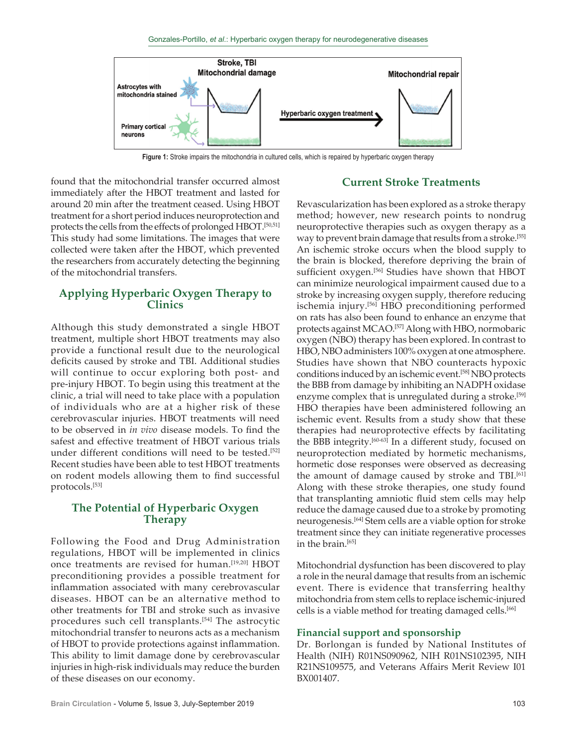

**Figure 1:** Stroke impairs the mitochondria in cultured cells, which is repaired by hyperbaric oxygen therapy

found that the mitochondrial transfer occurred almost immediately after the HBOT treatment and lasted for around 20 min after the treatment ceased. Using HBOT treatment for a short period induces neuroprotection and protects the cells from the effects of prolonged HBOT.[50,51] This study had some limitations. The images that were collected were taken after the HBOT, which prevented the researchers from accurately detecting the beginning of the mitochondrial transfers.

#### **Applying Hyperbaric Oxygen Therapy to Clinics**

Although this study demonstrated a single HBOT treatment, multiple short HBOT treatments may also provide a functional result due to the neurological deficits caused by stroke and TBI. Additional studies will continue to occur exploring both post- and pre‑injury HBOT. To begin using this treatment at the clinic, a trial will need to take place with a population of individuals who are at a higher risk of these cerebrovascular injuries. HBOT treatments will need to be observed in *in vivo* disease models. To find the safest and effective treatment of HBOT various trials under different conditions will need to be tested.<sup>[52]</sup> Recent studies have been able to test HBOT treatments on rodent models allowing them to find successful protocols.[53]

#### **The Potential of Hyperbaric Oxygen Therapy**

Following the Food and Drug Administration regulations, HBOT will be implemented in clinics once treatments are revised for human.[19,20] HBOT preconditioning provides a possible treatment for inflammation associated with many cerebrovascular diseases. HBOT can be an alternative method to other treatments for TBI and stroke such as invasive procedures such cell transplants.[54] The astrocytic mitochondrial transfer to neurons acts as a mechanism of HBOT to provide protections against inflammation. This ability to limit damage done by cerebrovascular injuries in high-risk individuals may reduce the burden of these diseases on our economy.

### **Current Stroke Treatments**

Revascularization has been explored as a stroke therapy method; however, new research points to nondrug neuroprotective therapies such as oxygen therapy as a way to prevent brain damage that results from a stroke.<sup>[55]</sup> An ischemic stroke occurs when the blood supply to the brain is blocked, therefore depriving the brain of sufficient oxygen.<sup>[56]</sup> Studies have shown that HBOT can minimize neurological impairment caused due to a stroke by increasing oxygen supply, therefore reducing ischemia injury.[56] HBO preconditioning performed on rats has also been found to enhance an enzyme that protects against MCAO.[57] Along with HBO, normobaric oxygen (NBO) therapy has been explored. In contrast to HBO, NBO administers 100% oxygen at one atmosphere. Studies have shown that NBO counteracts hypoxic conditions induced by an ischemic event.[58] NBO protects the BBB from damage by inhibiting an NADPH oxidase enzyme complex that is unregulated during a stroke.<sup>[59]</sup> HBO therapies have been administered following an ischemic event. Results from a study show that these therapies had neuroprotective effects by facilitating the BBB integrity.[60-63] In a different study, focused on neuroprotection mediated by hormetic mechanisms, hormetic dose responses were observed as decreasing the amount of damage caused by stroke and TBI.<sup>[61]</sup> Along with these stroke therapies, one study found that transplanting amniotic fluid stem cells may help reduce the damage caused due to a stroke by promoting neurogenesis.[64] Stem cells are a viable option for stroke treatment since they can initiate regenerative processes in the brain.<sup>[65]</sup>

Mitochondrial dysfunction has been discovered to play a role in the neural damage that results from an ischemic event. There is evidence that transferring healthy mitochondria from stem cells to replace ischemic‑injured cells is a viable method for treating damaged cells.[66]

#### **Financial support and sponsorship**

Dr. Borlongan is funded by National Institutes of Health (NIH) R01NS090962, NIH R01NS102395, NIH R21NS109575, and Veterans Affairs Merit Review I01 BX001407.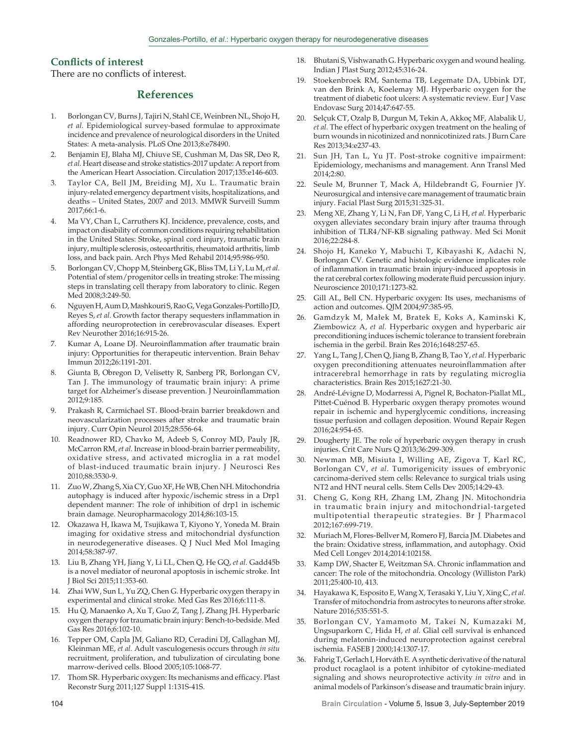#### **Conflicts of interest**

There are no conflicts of interest.

#### **References**

- 1. Borlongan CV, Burns J, Tajiri N, Stahl CE, Weinbren NL, Shojo H, *et al.* Epidemiological survey‑based formulae to approximate incidence and prevalence of neurological disorders in the United States: A meta‑analysis. PLoS One 2013;8:e78490.
- 2. Benjamin EJ, Blaha MJ, Chiuve SE, Cushman M, Das SR, Deo R, *et al.* Heart disease and stroke statistics‑2017 update: A report from the American Heart Association. Circulation 2017;135:e146-603.
- Taylor CA, Bell JM, Breiding MJ, Xu L. Traumatic brain injury‑related emergency department visits, hospitalizations, and deaths – United States, 2007 and 2013. MMWR Surveill Summ 2017;66:1‑6.
- 4. Ma VY, Chan L, Carruthers KJ. Incidence, prevalence, costs, and impact on disability of common conditions requiring rehabilitation in the United States: Stroke, spinal cord injury, traumatic brain injury, multiple sclerosis, osteoarthritis, rheumatoid arthritis, limb loss, and back pain. Arch Phys Med Rehabil 2014;95:986‑950.
- 5. Borlongan CV, Chopp M, Steinberg GK, Bliss TM, Li Y, Lu M, *et al.* Potential of stem/progenitor cells in treating stroke: The missing steps in translating cell therapy from laboratory to clinic. Regen Med 2008;3:249-50.
- Nguyen H, Aum D, Mashkouri S, Rao G, Vega Gonzales-Portillo JD, Reyes S, *et al.* Growth factor therapy sequesters inflammation in affording neuroprotection in cerebrovascular diseases. Expert Rev Neurother 2016;16:915‑26.
- 7. Kumar A, Loane DJ. Neuroinflammation after traumatic brain injury: Opportunities for therapeutic intervention. Brain Behav Immun 2012;26:1191‑201.
- Giunta B, Obregon D, Velisetty R, Sanberg PR, Borlongan CV, Tan J. The immunology of traumatic brain injury: A prime target for Alzheimer's disease prevention. J Neuroinflammation 2012;9:185.
- 9. Prakash R, Carmichael ST. Blood‑brain barrier breakdown and neovascularization processes after stroke and traumatic brain injury. Curr Opin Neurol 2015;28:556‑64.
- 10. Readnower RD, Chavko M, Adeeb S, Conroy MD, Pauly JR, McCarron RM, *et al.* Increase in blood‑brain barrier permeability, oxidative stress, and activated microglia in a rat model of blast‑induced traumatic brain injury. J Neurosci Res 2010;88:3530‑9.
- 11. ZuoW, Zhang S, Xia CY, GuoXF, HeWB, Chen NH. Mitochondria autophagy is induced after hypoxic/ischemic stress in a Drp1 dependent manner: The role of inhibition of drp1 in ischemic brain damage. Neuropharmacology 2014;86:103-15.
- 12. Okazawa H, Ikawa M, Tsujikawa T, Kiyono Y, Yoneda M. Brain imaging for oxidative stress and mitochondrial dysfunction in neurodegenerative diseases. Q J Nucl Med Mol Imaging 2014;58:387‑97.
- 13. Liu B, Zhang YH, Jiang Y, Li LL, Chen Q, He GQ, *et al.* Gadd45b is a novel mediator of neuronal apoptosis in ischemic stroke. Int J Biol Sci 2015;11:353‑60.
- 14. Zhai WW, Sun L, Yu ZQ, Chen G. Hyperbaric oxygen therapy in experimental and clinical stroke. Med Gas Res 2016;6:111‑8.
- 15. Hu Q, Manaenko A, Xu T, Guo Z, Tang J, Zhang JH. Hyperbaric oxygen therapy for traumatic brain injury: Bench-to-bedside. Med Gas Res 2016;6:102-10.
- 16. Tepper OM, Capla JM, Galiano RD, Ceradini DJ, Callaghan MJ, Kleinman ME, *et al.* Adult vasculogenesis occurs through *in situ*  recruitment, proliferation, and tubulization of circulating bone marrow‑derived cells. Blood 2005;105:1068‑77.
- 17. Thom SR. Hyperbaric oxygen: Its mechanisms and efficacy. Plast Reconstr Surg 2011;127 Suppl 1:131S‑41S.
- 18. Bhutani S, Vishwanath G. Hyperbaric oxygen and wound healing. Indian J Plast Surg 2012;45:316‑24.
- 19. Stoekenbroek RM, Santema TB, Legemate DA, Ubbink DT, van den Brink A, Koelemay MJ. Hyperbaric oxygen for the treatment of diabetic foot ulcers: A systematic review. Eur J Vasc Endovasc Surg 2014;47:647‑55.
- 20. Selçuk CT, Ozalp B, Durgun M, Tekin A, Akkoç MF, Alabalik U, *et al.* The effect of hyperbaric oxygen treatment on the healing of burn wounds in nicotinized and nonnicotinized rats. J Burn Care Res 2013;34:e237‑43.
- 21. Sun JH, Tan L, Yu JT. Post-stroke cognitive impairment: Epidemiology, mechanisms and management. Ann Transl Med 2014;2:80.
- 22. Seule M, Brunner T, Mack A, Hildebrandt G, Fournier JY. Neurosurgical and intensive care management of traumatic brain injury. Facial Plast Surg 2015;31:325‑31.
- 23. Meng XE, Zhang Y, Li N, Fan DF, Yang C, Li H, *et al.* Hyperbaric oxygen alleviates secondary brain injury after trauma through inhibition of TLR4/NF‑ΚB signaling pathway. Med Sci Monit 2016;22:284‑8.
- 24. Shojo H, Kaneko Y, Mabuchi T, Kibayashi K, Adachi N, Borlongan CV. Genetic and histologic evidence implicates role of inflammation in traumatic brain injury‑induced apoptosis in the rat cerebral cortex following moderate fluid percussion injury. Neuroscience 2010;171:1273‑82.
- 25. Gill AL, Bell CN. Hyperbaric oxygen: Its uses, mechanisms of action and outcomes. QJM 2004;97:385‑95.
- 26. Gamdzyk M, Małek M, Bratek E, Koks A, Kaminski K, Ziembowicz A, *et al.* Hyperbaric oxygen and hyperbaric air preconditioning induces ischemic tolerance to transient forebrain ischemia in the gerbil. Brain Res 2016;1648:257‑65.
- 27. Yang L, Tang J, Chen Q, Jiang B, Zhang B, Tao Y, *et al.* Hyperbaric oxygen preconditioning attenuates neuroinflammation after intracerebral hemorrhage in rats by regulating microglia characteristics. Brain Res 2015;1627:21‑30.
- 28. André‑Lévigne D, Modarressi A, Pignel R, Bochaton‑Piallat ML, Pittet-Cuénod B. Hyperbaric oxygen therapy promotes wound repair in ischemic and hyperglycemic conditions, increasing tissue perfusion and collagen deposition. Wound Repair Regen 2016;24:954‑65.
- 29. Dougherty JE. The role of hyperbaric oxygen therapy in crush injuries. Crit Care Nurs Q 2013;36:299‑309.
- 30. Newman MB, Misiuta I, Willing AE, Zigova T, Karl RC, Borlongan CV, *et al.* Tumorigenicity issues of embryonic carcinoma‑derived stem cells: Relevance to surgical trials using NT2 and HNT neural cells. Stem Cells Dev 2005;14:29-43.
- 31. Cheng G, Kong RH, Zhang LM, Zhang JN. Mitochondria in traumatic brain injury and mitochondrial-targeted multipotential therapeutic strategies. Br J Pharmacol 2012;167:699‑719.
- 32. Muriach M, Flores-Bellver M, Romero FJ, Barcia JM. Diabetes and the brain: Oxidative stress, inflammation, and autophagy. Oxid Med Cell Longev 2014;2014:102158.
- 33. Kamp DW, Shacter E, Weitzman SA. Chronic inflammation and cancer: The role of the mitochondria. Oncology (Williston Park) 2011;25:400‑10, 413.
- 34. Hayakawa K, Esposito E, Wang X, Terasaki Y, Liu Y, Xing C, *et al.* Transfer of mitochondria from astrocytes to neurons after stroke. Nature 2016;535:551‑5.
- 35. Borlongan CV, Yamamoto M, Takei N, Kumazaki M, Ungsuparkorn C, Hida H, *et al.* Glial cell survival is enhanced during melatonin‑induced neuroprotection against cerebral ischemia. FASEB J 2000;14:1307‑17.
- 36. FahrigT, Gerlach I, Horváth E. Asynthetic derivative of the natural product rocaglaol is a potent inhibitor of cytokine-mediated signaling and shows neuroprotective activity *in vitro* and in animal models of Parkinson's disease and traumatic brain injury.